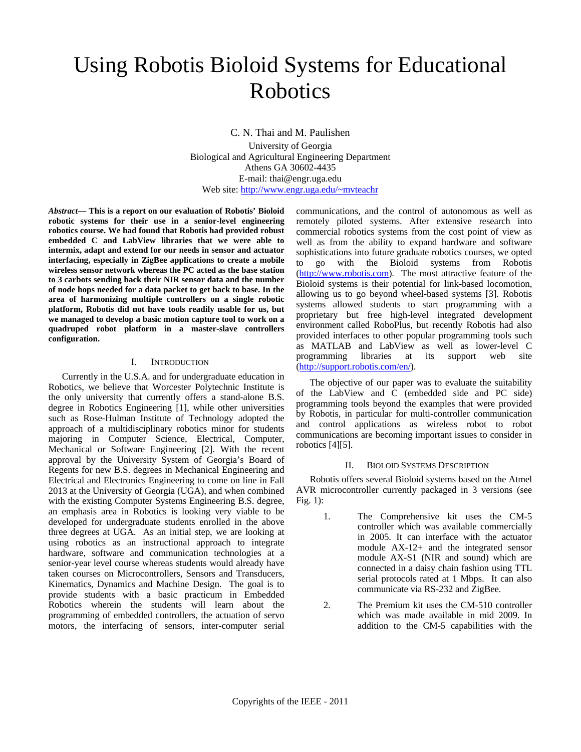# Using Robotis Bioloid Systems for Educational Robotics

C. N. Thai and M. Paulishen University of Georgia Biological and Agricultural Engineering Department Athens GA 30602-4435 E-mail: thai@engr.uga.edu Web site: http://www.engr.uga.edu/~mvteachr

*Abstract***— This is a report on our evaluation of Robotis' Bioloid robotic systems for their use in a senior-level engineering robotics course. We had found that Robotis had provided robust embedded C and LabView libraries that we were able to intermix, adapt and extend for our needs in sensor and actuator interfacing, especially in ZigBee applications to create a mobile wireless sensor network whereas the PC acted as the base station to 3 carbots sending back their NIR sensor data and the number of node hops needed for a data packet to get back to base. In the area of harmonizing multiple controllers on a single robotic platform, Robotis did not have tools readily usable for us, but we managed to develop a basic motion capture tool to work on a quadruped robot platform in a master-slave controllers configuration.** 

### I. INTRODUCTION

Currently in the U.S.A. and for undergraduate education in Robotics, we believe that Worcester Polytechnic Institute is the only university that currently offers a stand-alone B.S. degree in Robotics Engineering [1], while other universities such as Rose-Hulman Institute of Technology adopted the approach of a multidisciplinary robotics minor for students majoring in Computer Science, Electrical, Computer, Mechanical or Software Engineering [2]. With the recent approval by the University System of Georgia's Board of Regents for new B.S. degrees in Mechanical Engineering and Electrical and Electronics Engineering to come on line in Fall 2013 at the University of Georgia (UGA), and when combined with the existing Computer Systems Engineering B.S. degree, an emphasis area in Robotics is looking very viable to be developed for undergraduate students enrolled in the above three degrees at UGA. As an initial step, we are looking at using robotics as an instructional approach to integrate hardware, software and communication technologies at a senior-year level course whereas students would already have taken courses on Microcontrollers, Sensors and Transducers, Kinematics, Dynamics and Machine Design. The goal is to provide students with a basic practicum in Embedded Robotics wherein the students will learn about the programming of embedded controllers, the actuation of servo motors, the interfacing of sensors, inter-computer serial

communications, and the control of autonomous as well as remotely piloted systems. After extensive research into commercial robotics systems from the cost point of view as well as from the ability to expand hardware and software sophistications into future graduate robotics courses, we opted to go with the Bioloid systems from Robotis (http://www.robotis.com). The most attractive feature of the Bioloid systems is their potential for link-based locomotion, allowing us to go beyond wheel-based systems [3]. Robotis systems allowed students to start programming with a proprietary but free high-level integrated development environment called RoboPlus, but recently Robotis had also provided interfaces to other popular programming tools such as MATLAB and LabView as well as lower-level C programming libraries at its support web site (http://support.robotis.com/en/).

The objective of our paper was to evaluate the suitability of the LabView and C (embedded side and PC side) programming tools beyond the examples that were provided by Robotis, in particular for multi-controller communication and control applications as wireless robot to robot communications are becoming important issues to consider in robotics [4][5].

#### II. BIOLOID SYSTEMS DESCRIPTION

Robotis offers several Bioloid systems based on the Atmel AVR microcontroller currently packaged in 3 versions (see Fig. 1):

- 1. The Comprehensive kit uses the CM-5 controller which was available commercially in 2005. It can interface with the actuator module AX-12+ and the integrated sensor module AX-S1 (NIR and sound) which are connected in a daisy chain fashion using TTL serial protocols rated at 1 Mbps. It can also communicate via RS-232 and ZigBee.
- 2. The Premium kit uses the CM-510 controller which was made available in mid 2009. In addition to the CM-5 capabilities with the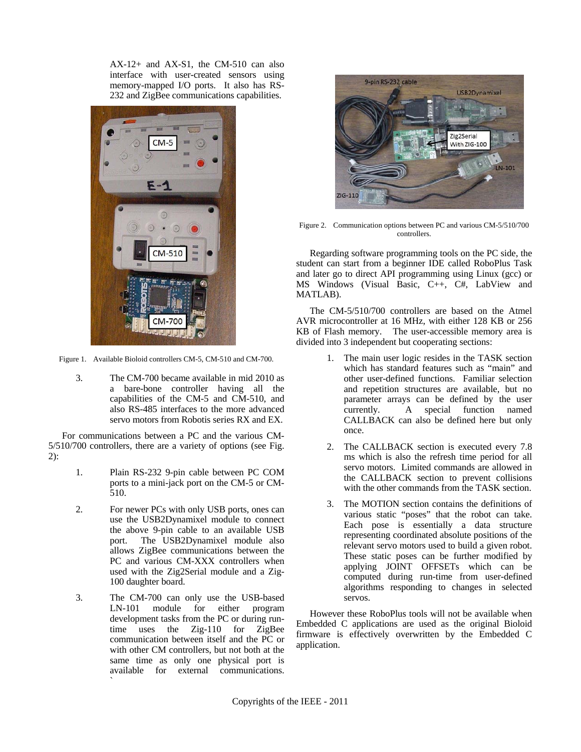AX-12+ and AX-S1, the CM-510 can also interface with user-created sensors using memory-mapped I/O ports. It also has RS-232 and ZigBee communications capabilities.



Figure 1. Available Bioloid controllers CM-5, CM-510 and CM-700.

3. The CM-700 became available in mid 2010 as a bare-bone controller having all the capabilities of the CM-5 and CM-510, and also RS-485 interfaces to the more advanced servo motors from Robotis series RX and EX.

For communications between a PC and the various CM-5/510/700 controllers, there are a variety of options (see Fig. 2):

- 1. Plain RS-232 9-pin cable between PC COM ports to a mini-jack port on the CM-5 or CM-510.
- 2. For newer PCs with only USB ports, ones can use the USB2Dynamixel module to connect the above 9-pin cable to an available USB port. The USB2Dynamixel module also allows ZigBee communications between the PC and various CM-XXX controllers when used with the Zig2Serial module and a Zig-100 daughter board.
- 3. The CM-700 can only use the USB-based LN-101 module for either program development tasks from the PC or during runtime uses the Zig-110 for ZigBee communication between itself and the PC or with other CM controllers, but not both at the same time as only one physical port is available for external communications. `



Figure 2. Communication options between PC and various CM-5/510/700 controllers.

Regarding software programming tools on the PC side, the student can start from a beginner IDE called RoboPlus Task and later go to direct API programming using Linux (gcc) or MS Windows (Visual Basic, C++, C#, LabView and MATLAB).

The CM-5/510/700 controllers are based on the Atmel AVR microcontroller at 16 MHz, with either 128 KB or 256 KB of Flash memory. The user-accessible memory area is divided into 3 independent but cooperating sections:

- The main user logic resides in the TASK section which has standard features such as "main" and other user-defined functions. Familiar selection and repetition structures are available, but no parameter arrays can be defined by the user currently. A special function named CALLBACK can also be defined here but only once.
- 2. The CALLBACK section is executed every 7.8 ms which is also the refresh time period for all servo motors. Limited commands are allowed in the CALLBACK section to prevent collisions with the other commands from the TASK section.
- 3. The MOTION section contains the definitions of various static "poses" that the robot can take. Each pose is essentially a data structure representing coordinated absolute positions of the relevant servo motors used to build a given robot. These static poses can be further modified by applying JOINT OFFSETs which can be computed during run-time from user-defined algorithms responding to changes in selected servos.

However these RoboPlus tools will not be available when Embedded C applications are used as the original Bioloid firmware is effectively overwritten by the Embedded C application.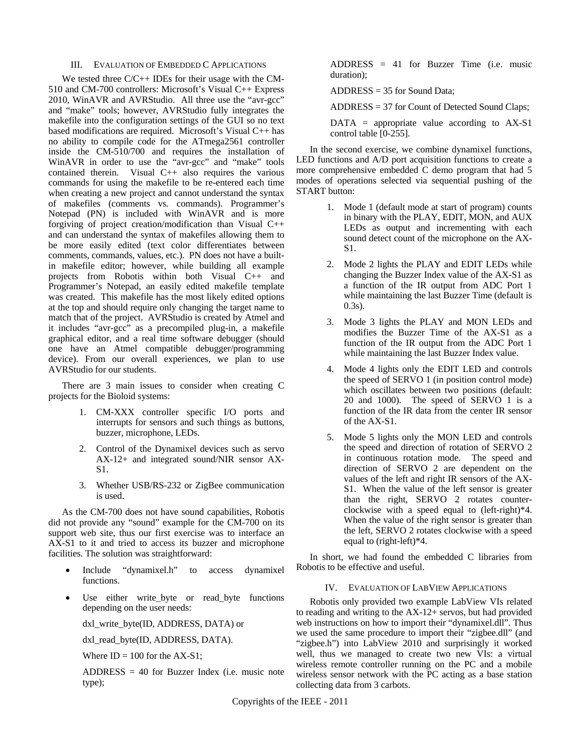#### III. EVALUATION OF EMBEDDED C APPLICATIONS

We tested three C/C++ IDEs for their usage with the CM-510 and CM-700 controllers: Microsoft's Visual C++ Express 2010, WinAVR and AVRStudio. All three use the "avr-gcc" and "make" tools; however, AVRStudio fully integrates the makefile into the configuration settings of the GUI so no text based modifications are required. Microsoft's Visual C++ has no ability to compile code for the ATmega2561 controller inside the CM-510/700 and requires the installation of WinAVR in order to use the "avr-gcc" and "make" tools contained therein. Visual C++ also requires the various commands for using the makefile to be re-entered each time when creating a new project and cannot understand the syntax of makefiles (comments vs. commands). Programmer's Notepad (PN) is included with WinAVR and is more forgiving of project creation/modification than Visual C++ and can understand the syntax of makefiles allowing them to be more easily edited (text color differentiates between comments, commands, values, etc.). PN does not have a builtin makefile editor; however, while building all example projects from Robotis within both Visual C++ and Programmer's Notepad, an easily edited makefile template was created. This makefile has the most likely edited options at the top and should require only changing the target name to match that of the project. AVRStudio is created by Atmel and it includes "avr-gcc" as a precompiled plug-in, a makefile graphical editor, and a real time software debugger (should one have an Atmel compatible debugger/programming device). From our overall experiences, we plan to use AVRStudio for our students.

There are 3 main issues to consider when creating C projects for the Bioloid systems:

- 1. CM-XXX controller specific I/O ports and interrupts for sensors and such things as buttons, buzzer, microphone, LEDs.
- 2. Control of the Dynamixel devices such as servo AX-12+ and integrated sound/NIR sensor AX-S1.
- 3. Whether USB/RS-232 or ZigBee communication is used.

As the CM-700 does not have sound capabilities, Robotis did not provide any "sound" example for the CM-700 on its support web site, thus our first exercise was to interface an AX-S1 to it and tried to access its buzzer and microphone facilities. The solution was straightforward:

- Include "dynamixel.h" to access dynamixel functions.
- Use either write\_byte or read\_byte functions depending on the user needs:

dxl\_write\_byte(ID, ADDRESS, DATA) or

dxl\_read\_byte(ID, ADDRESS, DATA).

Where  $ID = 100$  for the AX-S1;

 $ADDRESS = 40$  for Buzzer Index (i.e. music note type);

ADDRESS = 41 for Buzzer Time (i.e. music duration);

ADDRESS = 35 for Sound Data;

ADDRESS = 37 for Count of Detected Sound Claps;

 $DATA = appropriate value according to  $AX-S1$$ control table [0-255].

In the second exercise, we combine dynamixel functions, LED functions and A/D port acquisition functions to create a more comprehensive embedded C demo program that had 5 modes of operations selected via sequential pushing of the START button:

- 1. Mode 1 (default mode at start of program) counts in binary with the PLAY, EDIT, MON, and AUX LEDs as output and incrementing with each sound detect count of the microphone on the AX-S1.
- 2. Mode 2 lights the PLAY and EDIT LEDs while changing the Buzzer Index value of the AX-S1 as a function of the IR output from ADC Port 1 while maintaining the last Buzzer Time (default is 0.3s).
- 3. Mode 3 lights the PLAY and MON LEDs and modifies the Buzzer Time of the AX-S1 as a function of the IR output from the ADC Port 1 while maintaining the last Buzzer Index value.
- 4. Mode 4 lights only the EDIT LED and controls the speed of SERVO 1 (in position control mode) which oscillates between two positions (default: 20 and 1000). The speed of SERVO 1 is a function of the IR data from the center IR sensor of the AX-S1.
- 5. Mode 5 lights only the MON LED and controls the speed and direction of rotation of SERVO 2 in continuous rotation mode. The speed and direction of SERVO 2 are dependent on the values of the left and right IR sensors of the AX-S1. When the value of the left sensor is greater than the right, SERVO 2 rotates counterclockwise with a speed equal to (left-right)\*4. When the value of the right sensor is greater than the left, SERVO 2 rotates clockwise with a speed equal to (right-left)\*4.

In short, we had found the embedded C libraries from Robotis to be effective and useful.

## IV. EVALUATION OF LABVIEW APPLICATIONS

Robotis only provided two example LabView VIs related to reading and writing to the AX-12+ servos, but had provided web instructions on how to import their "dynamixel.dll". Thus we used the same procedure to import their "zigbee.dll" (and "zigbee.h") into LabView 2010 and surprisingly it worked well, thus we managed to create two new VIs: a virtual wireless remote controller running on the PC and a mobile wireless sensor network with the PC acting as a base station collecting data from 3 carbots.

Copyrights of the IEEE - 2011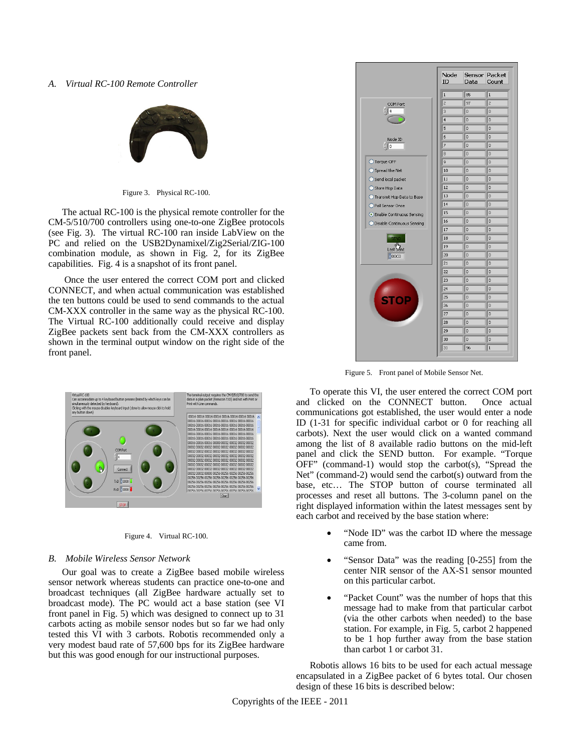*A. Virtual RC-100 Remote Controller* 



Figure 3. Physical RC-100.

The actual RC-100 is the physical remote controller for the CM-5/510/700 controllers using one-to-one ZigBee protocols (see Fig. 3). The virtual RC-100 ran inside LabView on the PC and relied on the USB2Dynamixel/Zig2Serial/ZIG-100 combination module, as shown in Fig. 2, for its ZigBee capabilities. Fig. 4 is a snapshot of its front panel.

 Once the user entered the correct COM port and clicked CONNECT, and when actual communication was established the ten buttons could be used to send commands to the actual CM-XXX controller in the same way as the physical RC-100. The Virtual RC-100 additionally could receive and display ZigBee packets sent back from the CM-XXX controllers as shown in the terminal output window on the right side of the front panel.





#### *B. Mobile Wireless Sensor Network*

Our goal was to create a ZigBee based mobile wireless sensor network whereas students can practice one-to-one and broadcast techniques (all ZigBee hardware actually set to broadcast mode). The PC would act a base station (see VI front panel in Fig. 5) which was designed to connect up to 31 carbots acting as mobile sensor nodes but so far we had only tested this VI with 3 carbots. Robotis recommended only a very modest baud rate of 57,600 bps for its ZigBee hardware but this was good enough for our instructional purposes.



Figure 5. Front panel of Mobile Sensor Net.

To operate this VI, the user entered the correct COM port and clicked on the CONNECT button. Once actual communications got established, the user would enter a node ID (1-31 for specific individual carbot or 0 for reaching all carbots). Next the user would click on a wanted command among the list of 8 available radio buttons on the mid-left panel and click the SEND button. For example. "Torque OFF" (command-1) would stop the carbot(s), "Spread the Net" (command-2) would send the carbot(s) outward from the base, etc… The STOP button of course terminated all processes and reset all buttons. The 3-column panel on the right displayed information within the latest messages sent by each carbot and received by the base station where:

- "Node ID" was the carbot ID where the message came from.
- "Sensor Data" was the reading [0-255] from the center NIR sensor of the AX-S1 sensor mounted on this particular carbot.
- "Packet Count" was the number of hops that this message had to make from that particular carbot (via the other carbots when needed) to the base station. For example, in Fig. 5, carbot 2 happened to be 1 hop further away from the base station than carbot 1 or carbot 31.

Robotis allows 16 bits to be used for each actual message encapsulated in a ZigBee packet of 6 bytes total. Our chosen design of these 16 bits is described below: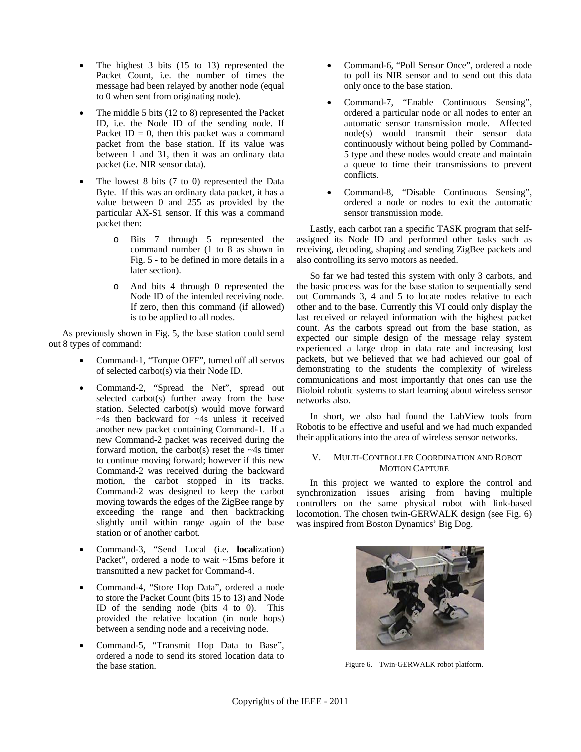- The highest 3 bits (15 to 13) represented the Packet Count, i.e. the number of times the message had been relayed by another node (equal to 0 when sent from originating node).
- The middle 5 bits (12 to 8) represented the Packet ID, i.e. the Node ID of the sending node. If Packet  $ID = 0$ , then this packet was a command packet from the base station. If its value was between 1 and 31, then it was an ordinary data packet (i.e. NIR sensor data).
- The lowest 8 bits (7 to 0) represented the Data Byte. If this was an ordinary data packet, it has a value between 0 and 255 as provided by the particular AX-S1 sensor. If this was a command packet then:
	- o Bits 7 through 5 represented the command number (1 to 8 as shown in Fig. 5 - to be defined in more details in a later section).
	- o And bits 4 through 0 represented the Node ID of the intended receiving node. If zero, then this command (if allowed) is to be applied to all nodes.

As previously shown in Fig. 5, the base station could send out 8 types of command:

- Command-1, "Torque OFF", turned off all servos of selected carbot(s) via their Node ID.
- Command-2, "Spread the Net", spread out selected carbot(s) further away from the base station. Selected carbot(s) would move forward ~4s then backward for ~4s unless it received another new packet containing Command-1. If a new Command-2 packet was received during the forward motion, the carbot(s) reset the  $~4s$  timer to continue moving forward; however if this new Command-2 was received during the backward motion, the carbot stopped in its tracks. Command-2 was designed to keep the carbot moving towards the edges of the ZigBee range by exceeding the range and then backtracking slightly until within range again of the base station or of another carbot.
- Command-3, "Send Local (i.e. **local**ization) Packet", ordered a node to wait ~15ms before it transmitted a new packet for Command-4.
- Command-4, "Store Hop Data", ordered a node to store the Packet Count (bits 15 to 13) and Node ID of the sending node (bits 4 to 0). This provided the relative location (in node hops) between a sending node and a receiving node.
- Command-5, "Transmit Hop Data to Base", ordered a node to send its stored location data to the base station.
- Command-6, "Poll Sensor Once", ordered a node to poll its NIR sensor and to send out this data only once to the base station.
- Command-7, "Enable Continuous Sensing", ordered a particular node or all nodes to enter an automatic sensor transmission mode. Affected node(s) would transmit their sensor data continuously without being polled by Command-5 type and these nodes would create and maintain a queue to time their transmissions to prevent conflicts.
- Command-8, "Disable Continuous Sensing", ordered a node or nodes to exit the automatic sensor transmission mode.

Lastly, each carbot ran a specific TASK program that selfassigned its Node ID and performed other tasks such as receiving, decoding, shaping and sending ZigBee packets and also controlling its servo motors as needed.

So far we had tested this system with only 3 carbots, and the basic process was for the base station to sequentially send out Commands 3, 4 and 5 to locate nodes relative to each other and to the base. Currently this VI could only display the last received or relayed information with the highest packet count. As the carbots spread out from the base station, as expected our simple design of the message relay system experienced a large drop in data rate and increasing lost packets, but we believed that we had achieved our goal of demonstrating to the students the complexity of wireless communications and most importantly that ones can use the Bioloid robotic systems to start learning about wireless sensor networks also.

In short, we also had found the LabView tools from Robotis to be effective and useful and we had much expanded their applications into the area of wireless sensor networks.

## V. MULTI-CONTROLLER COORDINATION AND ROBOT MOTION CAPTURE

In this project we wanted to explore the control and synchronization issues arising from having multiple controllers on the same physical robot with link-based locomotion. The chosen twin-GERWALK design (see Fig. 6) was inspired from Boston Dynamics' Big Dog.



Figure 6. Twin-GERWALK robot platform.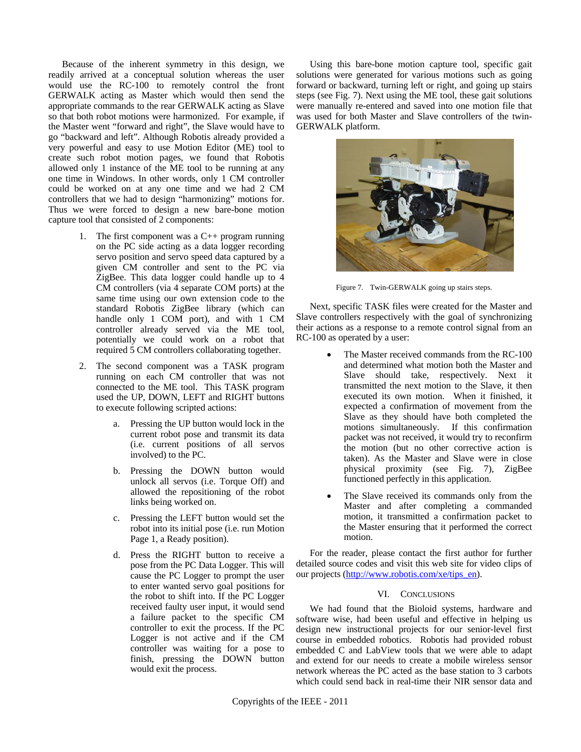Because of the inherent symmetry in this design, we readily arrived at a conceptual solution whereas the user would use the RC-100 to remotely control the front GERWALK acting as Master which would then send the appropriate commands to the rear GERWALK acting as Slave so that both robot motions were harmonized. For example, if the Master went "forward and right", the Slave would have to go "backward and left". Although Robotis already provided a very powerful and easy to use Motion Editor (ME) tool to create such robot motion pages, we found that Robotis allowed only 1 instance of the ME tool to be running at any one time in Windows. In other words, only 1 CM controller could be worked on at any one time and we had 2 CM controllers that we had to design "harmonizing" motions for. Thus we were forced to design a new bare-bone motion capture tool that consisted of 2 components:

- 1. The first component was a  $C_{++}$  program running on the PC side acting as a data logger recording servo position and servo speed data captured by a given CM controller and sent to the PC via ZigBee. This data logger could handle up to 4 CM controllers (via 4 separate COM ports) at the same time using our own extension code to the standard Robotis ZigBee library (which can handle only 1 COM port), and with 1 CM controller already served via the ME tool, potentially we could work on a robot that required 5 CM controllers collaborating together.
- 2. The second component was a TASK program running on each CM controller that was not connected to the ME tool. This TASK program used the UP, DOWN, LEFT and RIGHT buttons to execute following scripted actions:
	- a. Pressing the UP button would lock in the current robot pose and transmit its data (i.e. current positions of all servos involved) to the PC.
	- b. Pressing the DOWN button would unlock all servos (i.e. Torque Off) and allowed the repositioning of the robot links being worked on.
	- c. Pressing the LEFT button would set the robot into its initial pose (i.e. run Motion Page 1, a Ready position).
	- d. Press the RIGHT button to receive a pose from the PC Data Logger. This will cause the PC Logger to prompt the user to enter wanted servo goal positions for the robot to shift into. If the PC Logger received faulty user input, it would send a failure packet to the specific CM controller to exit the process. If the PC Logger is not active and if the CM controller was waiting for a pose to finish, pressing the DOWN button would exit the process.

Using this bare-bone motion capture tool, specific gait solutions were generated for various motions such as going forward or backward, turning left or right, and going up stairs steps (see Fig. 7). Next using the ME tool, these gait solutions were manually re-entered and saved into one motion file that was used for both Master and Slave controllers of the twin-GERWALK platform.



Figure 7. Twin-GERWALK going up stairs steps.

Next, specific TASK files were created for the Master and Slave controllers respectively with the goal of synchronizing their actions as a response to a remote control signal from an RC-100 as operated by a user:

- The Master received commands from the RC-100 and determined what motion both the Master and Slave should take, respectively. Next it transmitted the next motion to the Slave, it then executed its own motion. When it finished, it expected a confirmation of movement from the Slave as they should have both completed the motions simultaneously. If this confirmation packet was not received, it would try to reconfirm the motion (but no other corrective action is taken). As the Master and Slave were in close physical proximity (see Fig. 7), ZigBee functioned perfectly in this application.
- The Slave received its commands only from the Master and after completing a commanded motion, it transmitted a confirmation packet to the Master ensuring that it performed the correct motion.

For the reader, please contact the first author for further detailed source codes and visit this web site for video clips of our projects (http://www.robotis.com/xe/tips\_en).

# VI. CONCLUSIONS

We had found that the Bioloid systems, hardware and software wise, had been useful and effective in helping us design new instructional projects for our senior-level first course in embedded robotics. Robotis had provided robust embedded C and LabView tools that we were able to adapt and extend for our needs to create a mobile wireless sensor network whereas the PC acted as the base station to 3 carbots which could send back in real-time their NIR sensor data and